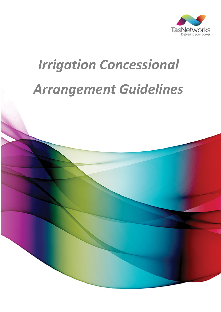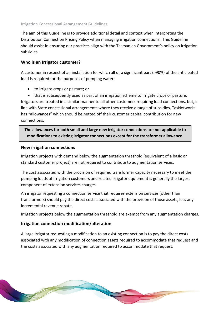The aim of this Guideline is to provide additional detail and context when interpreting the Distribution Connection Pricing Policy when managing irrigation connections. This Guideline should assist in ensuring our practices align with the Tasmanian Government's policy on irrigation subsidies.

# **Who is an Irrigator customer?**

A customer in respect of an installation for which all or a significant part (>90%) of the anticipated load is required for the purposes of pumping water:

- to irrigate crops or pasture; or
- that is subsequently used as part of an irrigation scheme to irrigate crops or pasture.

Irrigators are treated in a similar manner to all other customers requiring load connections, but, in line with State concessional arrangements where they receive a range of subsidies, TasNetworks has "allowances" which should be netted off their customer capital contribution for new connections.

**The allowances for both small and large new irrigator connections are not applicable to modifications to existing irrigator connections except for the transformer allowance.**

# **New irrigation connections**

Irrigation projects with demand below the augmentation threshold (equivalent of a basic or standard customer project) are not required to contribute to augmentation services.

The cost associated with the provision of required transformer capacity necessary to meet the pumping loads of irrigation customers and related irrigator equipment is generally the largest component of extension services charges.

An irrigator requesting a connection service that requires extension services (other than transformers) should pay the direct costs associated with the provision of those assets, less any incremental revenue rebate.

Irrigation projects below the augmentation threshold are exempt from any augmentation charges.

# **Irrigation connection modification/alteration**

A large irrigator requesting a modification to an existing connection is to pay the direct costs associated with any modification of connection assets required to accommodate that request and the costs associated with any augmentation required to accommodate that request.

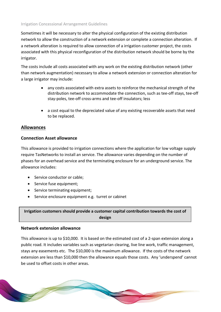Sometimes it will be necessary to alter the physical configuration of the existing distribution network to allow the construction of a network extension or complete a connection alteration. If a network alteration is required to allow connection of a irrigation customer project, the costs associated with this physical reconfiguration of the distribution network should be borne by the irrigator.

The costs include all costs associated with any work on the existing distribution network (other than network augmentation) necessary to allow a network extension or connection alteration for a large irrigator may include:

- any costs associated with extra assets to reinforce the mechanical strength of the distribution network to accommodate the connection, such as tee-off stays, tee-off stay-poles, tee-off cross-arms and tee-off insulators; less
- a cost equal to the depreciated value of any existing recoverable assets that need to be replaced.

# **Allowances**

#### **Connection Asset allowance**

This allowance is provided to irrigation connections where the application for low voltage supply require TasNetworks to install an service. The allowance varies depending on the number of phases for an overhead service and the terminating enclosure for an underground service. The allowance includes:

- Service conductor or cable:
- Service fuse equipment;
- Service terminating equipment;
- Service enclosure equipment e.g. turret or cabinet

**Irrigation customers should provide a customer capital contribution towards the cost of design** 

#### **Network extension allowance**

This allowance is up to \$10,000. It is based on the estimated cost of a 2-span extension along a public road. It includes variables such as vegetarian clearing, live line work, traffic management, stays any easements etc. The \$10,000 is the maximum allowance. If the costs of the network extension are less than \$10,000 then the allowance equals those costs. Any 'underspend' cannot be used to offset costs in other areas.

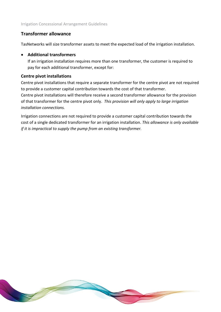# **Transformer allowance**

TasNetworks will size transformer assets to meet the expected load of the irrigation installation.

#### • **Additional transformers**

If an irrigation installation requires more than one transformer, the customer is required to pay for each additional transformer, except for:

# **Centre pivot installations**

Centre pivot installations that require a separate transformer for the centre pivot are not required to provide a customer capital contribution towards the cost of that transformer.

Centre pivot installations will therefore receive a second transformer allowance for the provision of that transformer for the centre pivot only. *This provision will only apply to large irrigation installation connections.*

Irrigation connections are not required to provide a customer capital contribution towards the cost of a single dedicated transformer for an irrigation installation. *This allowance is only available if it is impractical to supply the pump from an existing transformer.*

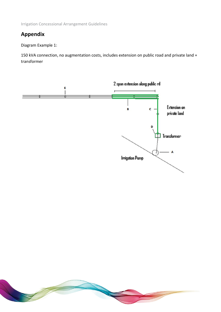# **Appendix**

Diagram Example 1:

150 kVA connection, no augmentation costs, includes extension on public road and private land + transformer



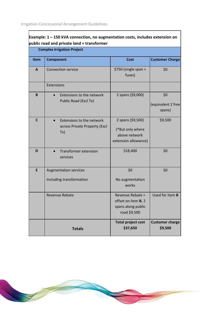| Example: $1 - 150$ kVA connection, no augmentation costs, includes extension on<br>public road and private land + transformer |                                                                   |                                                                                |                                     |
|-------------------------------------------------------------------------------------------------------------------------------|-------------------------------------------------------------------|--------------------------------------------------------------------------------|-------------------------------------|
|                                                                                                                               | <b>Complex Irrigation Project</b>                                 |                                                                                |                                     |
| Item                                                                                                                          | <b>Component</b>                                                  | <b>Cost</b>                                                                    | <b>Customer Charge</b>              |
| A                                                                                                                             | <b>Connection service</b>                                         | \$750 (single span +<br>fuses)                                                 | \$0                                 |
|                                                                                                                               | Extensions                                                        |                                                                                |                                     |
| B                                                                                                                             | Extensions to the network<br>Public Road (Excl Tx)                | 2 spans (\$9,000)                                                              | \$0<br>(equivalent 2 free<br>spans) |
| $\mathsf{C}$                                                                                                                  | Extensions to the network<br>across Private Property (Excl<br>Tx) | 2 spans (\$9,500)<br>(*But only where<br>above network<br>extension allowance) | \$9,500                             |
| D                                                                                                                             | <b>Transformer extension</b><br>services                          | \$18,400                                                                       | \$0                                 |
| E                                                                                                                             | <b>Augmentation services</b><br>Including transformation          | \$0<br>No augmentation<br>works                                                | \$0                                 |
|                                                                                                                               | Revenue Rebate                                                    | Revenue Rebate =<br>offset on item B, 2<br>spans along public<br>road \$9,500  | Used for item B                     |
|                                                                                                                               | <b>Totals</b>                                                     | <b>Total project cost</b><br>\$37,650                                          | <b>Customer charge</b><br>\$9,500   |

 $\overline{\phantom{a}}$ 

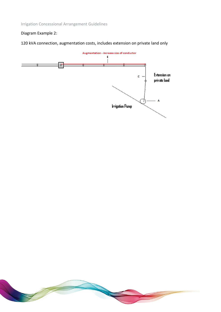# Diagram Example 2:

120 kVA connection, augmentation costs, includes extension on private land only



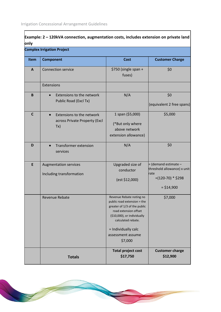$\overline{\Gamma}$ 

| Example: 2 - 120kVA connection, augmentation costs, includes extension on private land<br>only |                                                                   |                                                                                                                                                                                                                              |                                                                                                            |
|------------------------------------------------------------------------------------------------|-------------------------------------------------------------------|------------------------------------------------------------------------------------------------------------------------------------------------------------------------------------------------------------------------------|------------------------------------------------------------------------------------------------------------|
|                                                                                                | <b>Complex Irrigation Project</b>                                 |                                                                                                                                                                                                                              |                                                                                                            |
| Item                                                                                           | <b>Component</b>                                                  | <b>Cost</b>                                                                                                                                                                                                                  | <b>Customer Charge</b>                                                                                     |
| $\mathbf{A}$                                                                                   | <b>Connection service</b>                                         | \$750 (single span +<br>fuses)                                                                                                                                                                                               | \$0                                                                                                        |
|                                                                                                | Extensions                                                        |                                                                                                                                                                                                                              |                                                                                                            |
| B                                                                                              | Extensions to the network<br>Public Road (Excl Tx)                | N/A                                                                                                                                                                                                                          | \$0<br>(equivalent 2 free spans)                                                                           |
| $\mathsf{C}$                                                                                   | Extensions to the network<br>across Private Property (Excl<br>Tx) | 1 span (\$5,000)<br>(*But only where<br>above network<br>extension allowance)                                                                                                                                                | \$5,000                                                                                                    |
| D                                                                                              | <b>Transformer extension</b><br>services                          | N/A                                                                                                                                                                                                                          | \$0                                                                                                        |
| E                                                                                              | <b>Augmentation services</b><br>Including transformation          | Upgraded size of<br>conductor<br>(est \$12,000)                                                                                                                                                                              | = (demand estimate -<br>threshold allowance) x unit<br><b>r</b> ate<br>$=(120-70)$ * \$298<br>$=$ \$14,900 |
|                                                                                                | Revenue Rebate                                                    | Revenue Rebate noting no<br>public road extension = the<br>greater of 1/3 of the public<br>road extension offset<br>(\$10,000), or individually<br>calculated rebate.<br>= Individually calc<br>assessment assume<br>\$7,000 | \$7,000                                                                                                    |
|                                                                                                | <b>Totals</b>                                                     | <b>Total project cost</b><br>\$17,750                                                                                                                                                                                        | <b>Customer charge</b><br>\$12,900                                                                         |

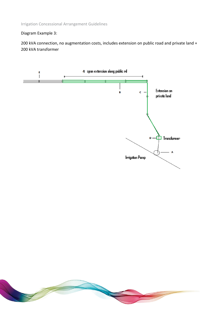Diagram Example 3:

200 kVA connection, no augmentation costs, includes extension on public road and private land + 200 kVA transformer



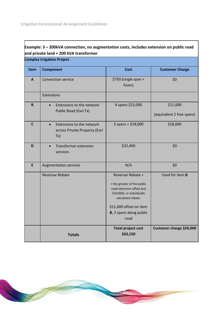|              | and private land + 200 kVA transformer                            |                                                                                                                                                                                                 |                                       |  |
|--------------|-------------------------------------------------------------------|-------------------------------------------------------------------------------------------------------------------------------------------------------------------------------------------------|---------------------------------------|--|
|              | <b>Complex Irrigation Project</b>                                 |                                                                                                                                                                                                 |                                       |  |
| <b>Item</b>  | <b>Component</b>                                                  | <b>Cost</b>                                                                                                                                                                                     | <b>Customer Charge</b>                |  |
| $\mathbf{A}$ | <b>Connection service</b>                                         | \$750 (single span +<br>fuses)                                                                                                                                                                  | \$0                                   |  |
|              | Extensions                                                        |                                                                                                                                                                                                 |                                       |  |
| $\pmb B$     | Extensions to the network<br>$\bullet$<br>Public Road (Excl Tx)   | 4 spans \$22,000                                                                                                                                                                                | \$11,000<br>(equivalent 2 free spans) |  |
| $\mathsf{C}$ | Extensions to the network<br>across Private Property (Excl<br>Tx) | $3$ spans = \$18,000                                                                                                                                                                            | \$18,000                              |  |
| D            | <b>Transformer extension</b><br>services                          | \$22,400                                                                                                                                                                                        | \$0                                   |  |
| E            | <b>Augmentation services</b>                                      | N/A                                                                                                                                                                                             | \$0                                   |  |
|              | Revenue Rebate                                                    | Revenue Rebate =<br>= the greater of the public<br>road extension offset (est<br>\$10,000), or individually<br>calculated rebate.<br>\$11,000 offset on item<br>B, 2 spans along public<br>road | Used for item <b>B</b>                |  |
|              | <b>Totals</b>                                                     | <b>Total project cost</b><br>\$63,150                                                                                                                                                           | Customer charge \$29,000              |  |

# **Example: 3 – 200kVA connection, no augmentation costs, includes extension on public road**

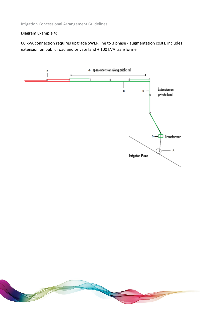Diagram Example 4:

60 kVA connection requires upgrade SWER line to 3 phase - augmentation costs, includes extension on public road and private land + 100 kVA transformer



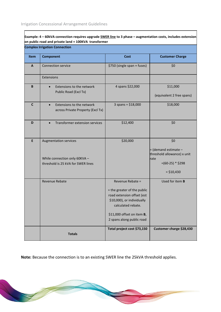$\Gamma$ 

|              | <b>Complex Irrigation Connection</b>                                                                |                                                                                                                                                                                              |                                                                                                         |
|--------------|-----------------------------------------------------------------------------------------------------|----------------------------------------------------------------------------------------------------------------------------------------------------------------------------------------------|---------------------------------------------------------------------------------------------------------|
| <b>Item</b>  | <b>Component</b>                                                                                    | <b>Cost</b>                                                                                                                                                                                  | <b>Customer Charge</b>                                                                                  |
| A            | <b>Connection service</b>                                                                           | \$750 (single span + fuses)                                                                                                                                                                  | \$0                                                                                                     |
|              | Extensions                                                                                          |                                                                                                                                                                                              |                                                                                                         |
| B            | Extensions to the network<br>Public Road (Excl Tx)                                                  | 4 spans \$22,000                                                                                                                                                                             | \$11,000<br>(equivalent 2 free spans)                                                                   |
| $\mathsf{C}$ | Extensions to the network<br>$\bullet$<br>across Private Property (Excl Tx)                         | $3$ spans = \$18,000                                                                                                                                                                         | \$18,000                                                                                                |
| D            | Transformer extension services                                                                      | \$12,400                                                                                                                                                                                     | \$0                                                                                                     |
| E            | <b>Augmentation services</b><br>While connection only 60KVA -<br>threshold is 25 kVA for SWER lines | \$20,000                                                                                                                                                                                     | \$0<br>= (demand estimate -<br>threshold allowance) x unit<br>rate<br>$=(60-25) * $298$<br>$=$ \$10,430 |
|              | <b>Revenue Rebate</b>                                                                               | Revenue Rebate =<br>= the greater of the public<br>road extension offset (est<br>\$10,000), or individually<br>calculated rebate.<br>\$11,000 offset on item B,<br>2 spans along public road | Used for item <b>B</b>                                                                                  |
|              | <b>Totals</b>                                                                                       | Total project cost \$73,150                                                                                                                                                                  | Customer charge \$28,430                                                                                |

ヿ

**Note:** Because the connection is to an existing SWER line the 25kVA threshold applies.

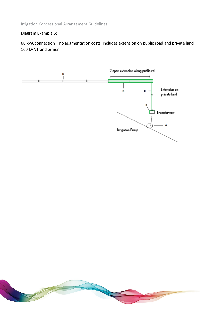## Diagram Example 5:

60 kVA connection – no augmentation costs, includes extension on public road and private land + 100 kVA transformer